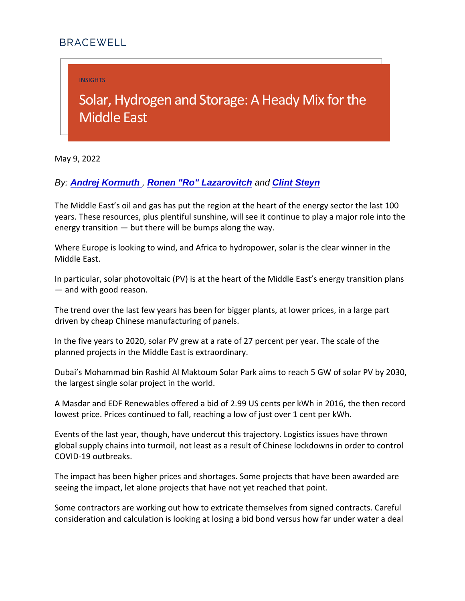INSIGHTS

## Solar, Hydrogen and Storage: Middle East

May 9, 2022

By: [Andrej Kormuth](https://bracewell.com/people/andrej-kormuth) , [Ronen "Ro" Lazarovitch](https://bracewell.com/people/ronen-ro-lazarovitch) and [Clint Steyn](https://bracewell.com/people/clint-steyn)

The Middle East s oil and gas has put the region at the heart of years. These resources, plus plentiful sunshine, will see it cor energy transition but there will be bumps along the way.

Where Europe is looking to wind, and Africa to hydropower, sol Middle East.

In particular, solar photovoltaic (PV) is at the heart of the Mid and with good reason.

The trend over the last few years has been for bigger plants, a driven by cheap Chinese manufacturing of panels.

In the five years to 2020, solar PV grew at a rate of 27 percent planned projects in the Middle East is extraordinary.

Dubai s Mohammad bin Rashid Al Maktoum Solar Park aims to reach 5 the largest single solar project in the world.

A Masdar and EDF Renewables offered a bid of 2.99 US cents per key and EDF Renewables offered a bid of 2.99 US cents lowest price. Prices continued to fall, reaching a low of just over

Events of the last year, though, have undercut this trajectory. global supply chains into turmoil, not least as a result of Chin COVID-19 outbreaks.

The impact has been higher prices and shortages. Some projec seeing the impact, let alone projects that have not yet reached

Some contractors are working out how to extricate themselves. consideration and calculation is looking at losing a bid bond  $v_1$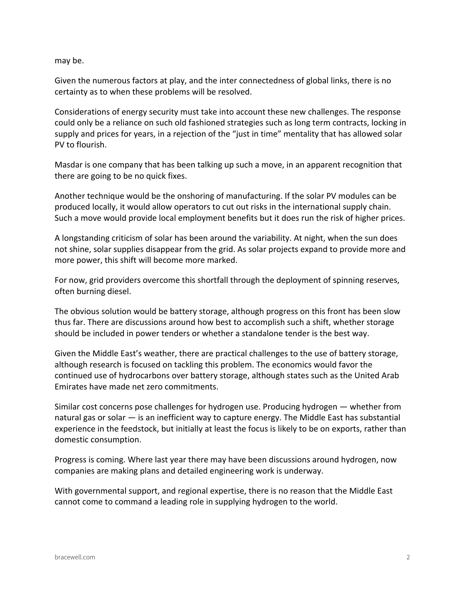may be.

Given the numerous factors at play, and the inter connectedness of global links, there is no certainty as to when these problems will be resolved.

Considerations of energy security must take into account these new challenges. The response could only be a reliance on such old fashioned strategies such as long term contracts, locking in supply and prices for years, in a rejection of the "just in time" mentality that has allowed solar PV to flourish.

Masdar is one company that has been talking up such a move, in an apparent recognition that there are going to be no quick fixes.

Another technique would be the onshoring of manufacturing. If the solar PV modules can be produced locally, it would allow operators to cut out risks in the international supply chain. Such a move would provide local employment benefits but it does run the risk of higher prices.

A longstanding criticism of solar has been around the variability. At night, when the sun does not shine, solar supplies disappear from the grid. As solar projects expand to provide more and more power, this shift will become more marked.

For now, grid providers overcome this shortfall through the deployment of spinning reserves, often burning diesel.

The obvious solution would be battery storage, although progress on this front has been slow thus far. There are discussions around how best to accomplish such a shift, whether storage should be included in power tenders or whether a standalone tender is the best way.

Given the Middle East's weather, there are practical challenges to the use of battery storage, although research is focused on tackling this problem. The economics would favor the continued use of hydrocarbons over battery storage, although states such as the United Arab Emirates have made net zero commitments.

Similar cost concerns pose challenges for hydrogen use. Producing hydrogen — whether from natural gas or solar — is an inefficient way to capture energy. The Middle East has substantial experience in the feedstock, but initially at least the focus is likely to be on exports, rather than domestic consumption.

Progress is coming. Where last year there may have been discussions around hydrogen, now companies are making plans and detailed engineering work is underway.

With governmental support, and regional expertise, there is no reason that the Middle East cannot come to command a leading role in supplying hydrogen to the world.